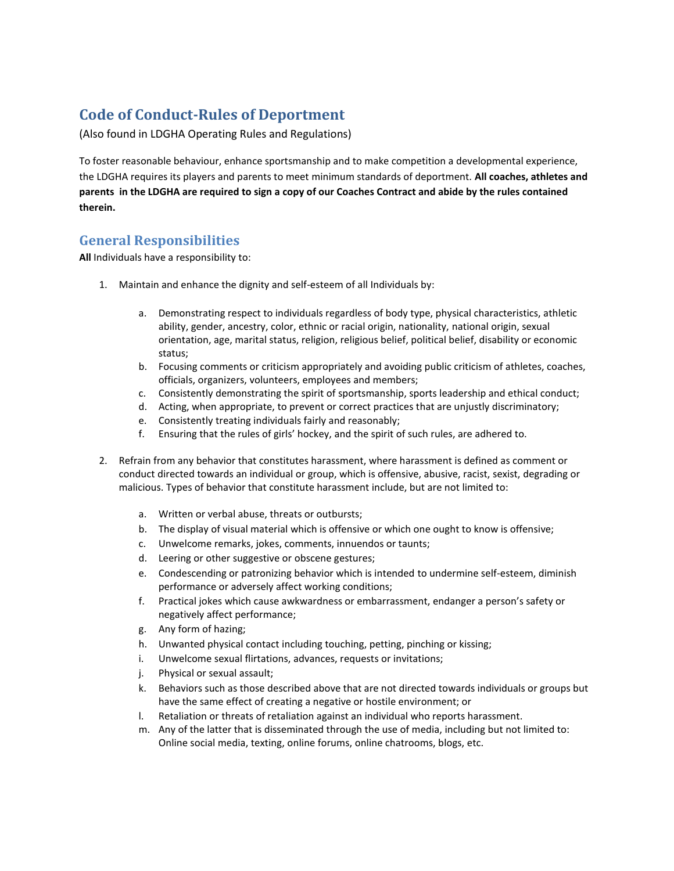# **Code of Conduct-Rules of Deportment**

(Also found in LDGHA Operating Rules and Regulations)

To foster reasonable behaviour, enhance sportsmanship and to make competition a developmental experience, the LDGHA requires its players and parents to meet minimum standards of deportment. **All coaches, athletes and parents in the LDGHA are required to sign a copy of our Coaches Contract and abide by the rules contained therein.**

## **General Responsibilities**

**All** Individuals have a responsibility to:

- 1. Maintain and enhance the dignity and self-esteem of all Individuals by:
	- a. Demonstrating respect to individuals regardless of body type, physical characteristics, athletic ability, gender, ancestry, color, ethnic or racial origin, nationality, national origin, sexual orientation, age, marital status, religion, religious belief, political belief, disability or economic status;
	- b. Focusing comments or criticism appropriately and avoiding public criticism of athletes, coaches, officials, organizers, volunteers, employees and members;
	- c. Consistently demonstrating the spirit of sportsmanship, sports leadership and ethical conduct;
	- d. Acting, when appropriate, to prevent or correct practices that are unjustly discriminatory;
	- e. Consistently treating individuals fairly and reasonably;
	- f. Ensuring that the rules of girls' hockey, and the spirit of such rules, are adhered to.
- 2. Refrain from any behavior that constitutes harassment, where harassment is defined as comment or conduct directed towards an individual or group, which is offensive, abusive, racist, sexist, degrading or malicious. Types of behavior that constitute harassment include, but are not limited to:
	- a. Written or verbal abuse, threats or outbursts;
	- b. The display of visual material which is offensive or which one ought to know is offensive;
	- c. Unwelcome remarks, jokes, comments, innuendos or taunts;
	- d. Leering or other suggestive or obscene gestures;
	- e. Condescending or patronizing behavior which is intended to undermine self-esteem, diminish performance or adversely affect working conditions;
	- f. Practical jokes which cause awkwardness or embarrassment, endanger a person's safety or negatively affect performance;
	- g. Any form of hazing;
	- h. Unwanted physical contact including touching, petting, pinching or kissing;
	- i. Unwelcome sexual flirtations, advances, requests or invitations;
	- j. Physical or sexual assault;
	- k. Behaviors such as those described above that are not directed towards individuals or groups but have the same effect of creating a negative or hostile environment; or
	- l. Retaliation or threats of retaliation against an individual who reports harassment.
	- m. Any of the latter that is disseminated through the use of media, including but not limited to: Online social media, texting, online forums, online chatrooms, blogs, etc.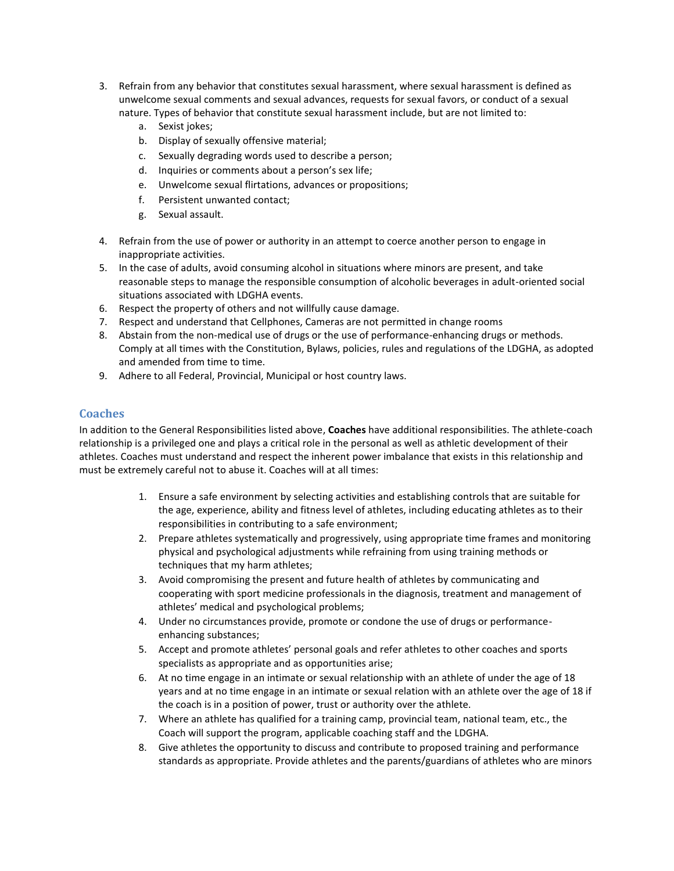- 3. Refrain from any behavior that constitutes sexual harassment, where sexual harassment is defined as unwelcome sexual comments and sexual advances, requests for sexual favors, or conduct of a sexual nature. Types of behavior that constitute sexual harassment include, but are not limited to:
	- a. Sexist jokes;
	- b. Display of sexually offensive material;
	- c. Sexually degrading words used to describe a person;
	- d. Inquiries or comments about a person's sex life;
	- e. Unwelcome sexual flirtations, advances or propositions;
	- f. Persistent unwanted contact;
	- g. Sexual assault.
- 4. Refrain from the use of power or authority in an attempt to coerce another person to engage in inappropriate activities.
- 5. In the case of adults, avoid consuming alcohol in situations where minors are present, and take reasonable steps to manage the responsible consumption of alcoholic beverages in adult-oriented social situations associated with LDGHA events.
- 6. Respect the property of others and not willfully cause damage.
- 7. Respect and understand that Cellphones, Cameras are not permitted in change rooms
- 8. Abstain from the non-medical use of drugs or the use of performance-enhancing drugs or methods. Comply at all times with the Constitution, Bylaws, policies, rules and regulations of the LDGHA, as adopted and amended from time to time.
- 9. Adhere to all Federal, Provincial, Municipal or host country laws.

### **Coaches**

In addition to the General Responsibilities listed above, **Coaches** have additional responsibilities. The athlete-coach relationship is a privileged one and plays a critical role in the personal as well as athletic development of their athletes. Coaches must understand and respect the inherent power imbalance that exists in this relationship and must be extremely careful not to abuse it. Coaches will at all times:

- 1. Ensure a safe environment by selecting activities and establishing controls that are suitable for the age, experience, ability and fitness level of athletes, including educating athletes as to their responsibilities in contributing to a safe environment;
- 2. Prepare athletes systematically and progressively, using appropriate time frames and monitoring physical and psychological adjustments while refraining from using training methods or techniques that my harm athletes;
- 3. Avoid compromising the present and future health of athletes by communicating and cooperating with sport medicine professionals in the diagnosis, treatment and management of athletes' medical and psychological problems;
- 4. Under no circumstances provide, promote or condone the use of drugs or performanceenhancing substances;
- 5. Accept and promote athletes' personal goals and refer athletes to other coaches and sports specialists as appropriate and as opportunities arise;
- 6. At no time engage in an intimate or sexual relationship with an athlete of under the age of 18 years and at no time engage in an intimate or sexual relation with an athlete over the age of 18 if the coach is in a position of power, trust or authority over the athlete.
- 7. Where an athlete has qualified for a training camp, provincial team, national team, etc., the Coach will support the program, applicable coaching staff and the LDGHA.
- 8. Give athletes the opportunity to discuss and contribute to proposed training and performance standards as appropriate. Provide athletes and the parents/guardians of athletes who are minors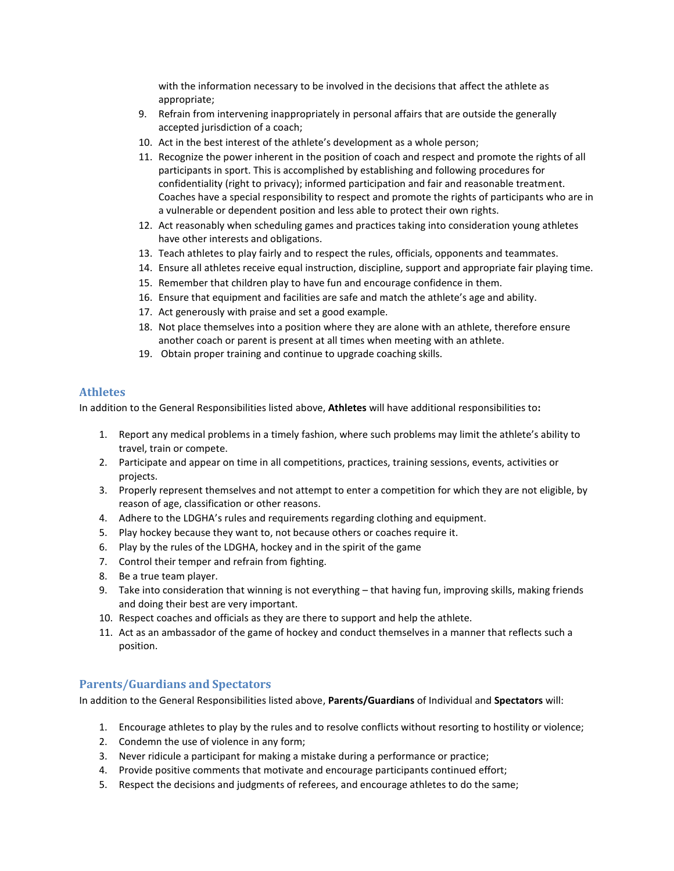with the information necessary to be involved in the decisions that affect the athlete as appropriate;

- 9. Refrain from intervening inappropriately in personal affairs that are outside the generally accepted jurisdiction of a coach;
- 10. Act in the best interest of the athlete's development as a whole person;
- 11. Recognize the power inherent in the position of coach and respect and promote the rights of all participants in sport. This is accomplished by establishing and following procedures for confidentiality (right to privacy); informed participation and fair and reasonable treatment. Coaches have a special responsibility to respect and promote the rights of participants who are in a vulnerable or dependent position and less able to protect their own rights.
- 12. Act reasonably when scheduling games and practices taking into consideration young athletes have other interests and obligations.
- 13. Teach athletes to play fairly and to respect the rules, officials, opponents and teammates.
- 14. Ensure all athletes receive equal instruction, discipline, support and appropriate fair playing time.
- 15. Remember that children play to have fun and encourage confidence in them.
- 16. Ensure that equipment and facilities are safe and match the athlete's age and ability.
- 17. Act generously with praise and set a good example.
- 18. Not place themselves into a position where they are alone with an athlete, therefore ensure another coach or parent is present at all times when meeting with an athlete.
- 19. Obtain proper training and continue to upgrade coaching skills.

#### **Athletes**

In addition to the General Responsibilities listed above, **Athletes** will have additional responsibilities to**:** 

- 1. Report any medical problems in a timely fashion, where such problems may limit the athlete's ability to travel, train or compete.
- 2. Participate and appear on time in all competitions, practices, training sessions, events, activities or projects.
- 3. Properly represent themselves and not attempt to enter a competition for which they are not eligible, by reason of age, classification or other reasons.
- 4. Adhere to the LDGHA's rules and requirements regarding clothing and equipment.
- 5. Play hockey because they want to, not because others or coaches require it.
- 6. Play by the rules of the LDGHA, hockey and in the spirit of the game
- 7. Control their temper and refrain from fighting.
- 8. Be a true team player.
- 9. Take into consideration that winning is not everything that having fun, improving skills, making friends and doing their best are very important.
- 10. Respect coaches and officials as they are there to support and help the athlete.
- 11. Act as an ambassador of the game of hockey and conduct themselves in a manner that reflects such a position.

#### **Parents/Guardians and Spectators**

In addition to the General Responsibilities listed above, **Parents/Guardians** of Individual and **Spectators** will:

- 1. Encourage athletes to play by the rules and to resolve conflicts without resorting to hostility or violence;
- 2. Condemn the use of violence in any form;
- 3. Never ridicule a participant for making a mistake during a performance or practice;
- 4. Provide positive comments that motivate and encourage participants continued effort;
- 5. Respect the decisions and judgments of referees, and encourage athletes to do the same;